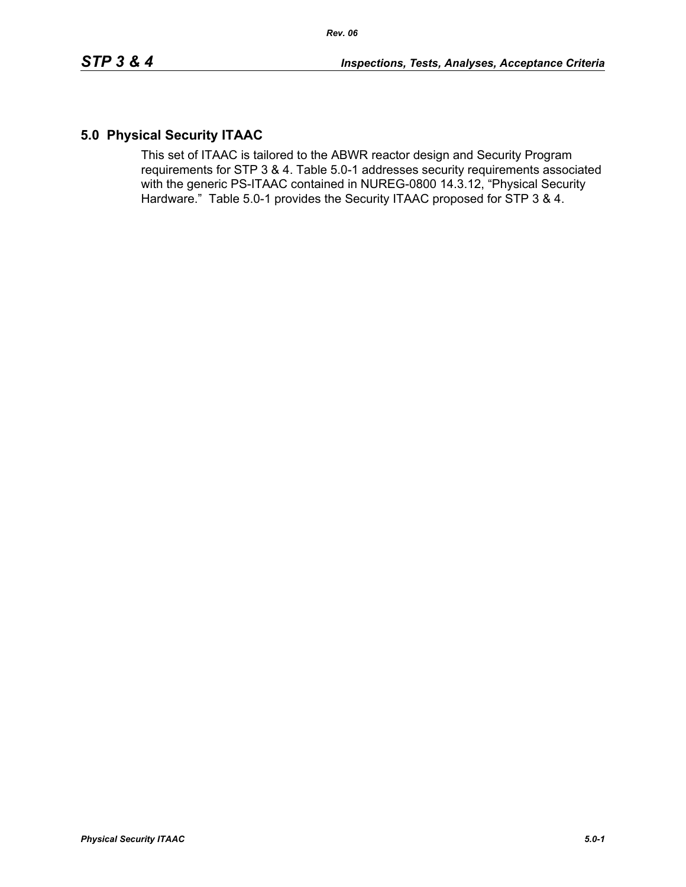# **5.0 Physical Security ITAAC**

This set of ITAAC is tailored to the ABWR reactor design and Security Program requirements for STP 3 & 4. Table 5.0-1 addresses security requirements associated with the generic PS-ITAAC contained in NUREG-0800 14.3.12, "Physical Security Hardware." Table 5.0-1 provides the Security ITAAC proposed for STP 3 & 4.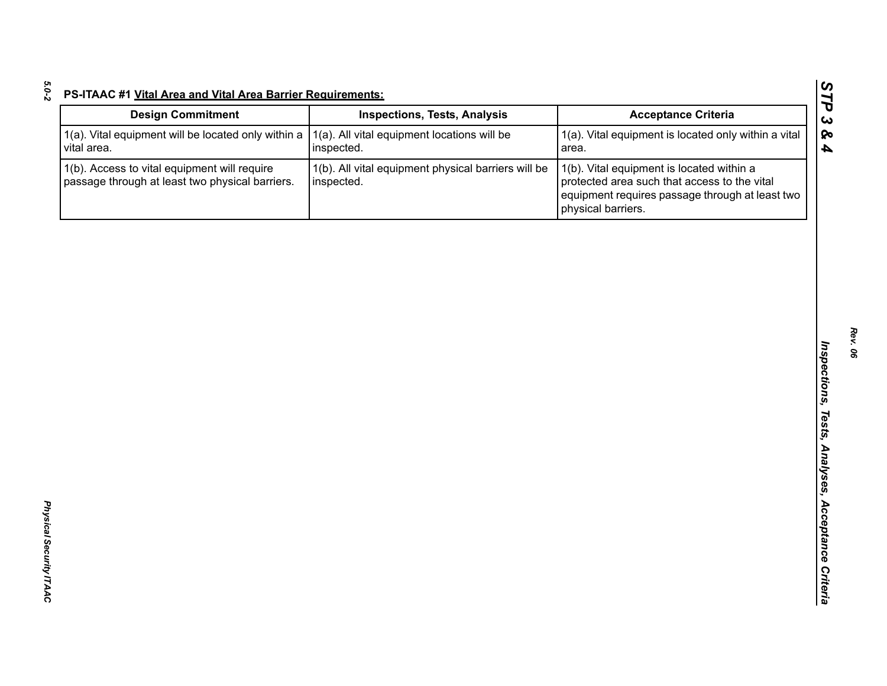| 1(a). All vital equipment locations will be<br>inspected.         | 1(a). Vital equipment is located only within a vital<br>area.                                                                                                      |
|-------------------------------------------------------------------|--------------------------------------------------------------------------------------------------------------------------------------------------------------------|
| 1(b). All vital equipment physical barriers will be<br>inspected. | 1(b). Vital equipment is located within a<br>protected area such that access to the vital<br>equipment requires passage through at least two<br>physical barriers. |
|                                                                   |                                                                                                                                                                    |
|                                                                   |                                                                                                                                                                    |
|                                                                   |                                                                                                                                                                    |
|                                                                   |                                                                                                                                                                    |
|                                                                   |                                                                                                                                                                    |
|                                                                   |                                                                                                                                                                    |
|                                                                   |                                                                                                                                                                    |
|                                                                   |                                                                                                                                                                    |
|                                                                   |                                                                                                                                                                    |
|                                                                   |                                                                                                                                                                    |
|                                                                   |                                                                                                                                                                    |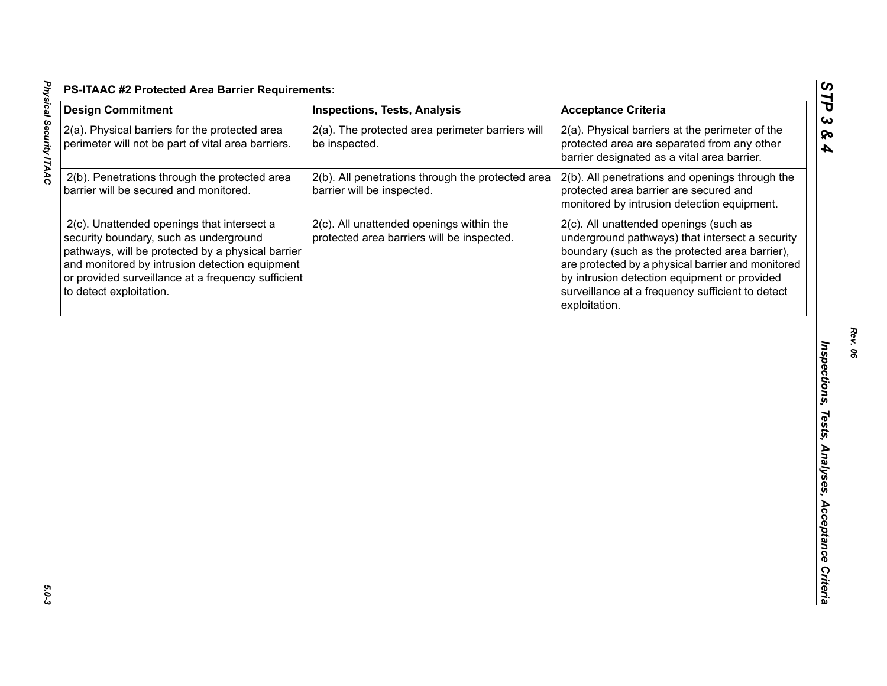| <b>Design Commitment</b>                                                                                                                                                                                                                                                     | <b>Inspections, Tests, Analysis</b>                                                    | <b>Acceptance Criteria</b>                                                                                                                                                                                                                                                                                            |
|------------------------------------------------------------------------------------------------------------------------------------------------------------------------------------------------------------------------------------------------------------------------------|----------------------------------------------------------------------------------------|-----------------------------------------------------------------------------------------------------------------------------------------------------------------------------------------------------------------------------------------------------------------------------------------------------------------------|
| 2(a). Physical barriers for the protected area<br>perimeter will not be part of vital area barriers.                                                                                                                                                                         | 2(a). The protected area perimeter barriers will<br>be inspected.                      | 2(a). Physical barriers at the perimeter of the<br>protected area are separated from any other<br>barrier designated as a vital area barrier.                                                                                                                                                                         |
| 2(b). Penetrations through the protected area<br>barrier will be secured and monitored.                                                                                                                                                                                      | 2(b). All penetrations through the protected area<br>barrier will be inspected.        | 2(b). All penetrations and openings through the<br>protected area barrier are secured and<br>monitored by intrusion detection equipment.                                                                                                                                                                              |
| 2(c). Unattended openings that intersect a<br>security boundary, such as underground<br>pathways, will be protected by a physical barrier<br>and monitored by intrusion detection equipment<br>or provided surveillance at a frequency sufficient<br>to detect exploitation. | 2(c). All unattended openings within the<br>protected area barriers will be inspected. | 2(c). All unattended openings (such as<br>underground pathways) that intersect a security<br>boundary (such as the protected area barrier),<br>are protected by a physical barrier and monitored<br>by intrusion detection equipment or provided<br>surveillance at a frequency sufficient to detect<br>exploitation. |
|                                                                                                                                                                                                                                                                              |                                                                                        |                                                                                                                                                                                                                                                                                                                       |
|                                                                                                                                                                                                                                                                              |                                                                                        |                                                                                                                                                                                                                                                                                                                       |
|                                                                                                                                                                                                                                                                              |                                                                                        |                                                                                                                                                                                                                                                                                                                       |

*Rev. 06*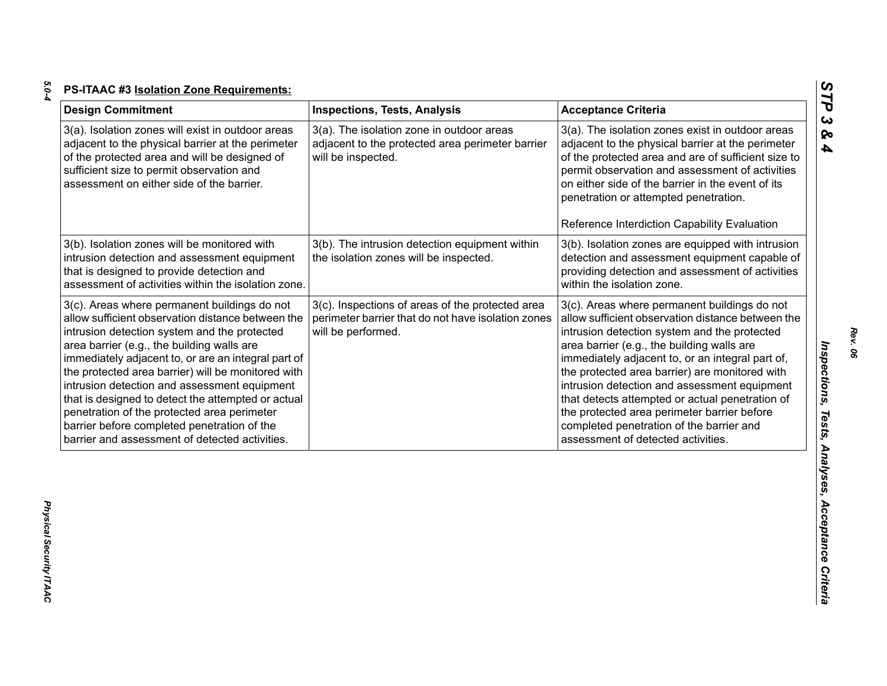| ×       |  |
|---------|--|
| ×<br>۰. |  |
|         |  |

| <b>Design Commitment</b>                                                                                                                                                                                                                                                                                                                                                                                                                                                                                                                                           | <b>Inspections, Tests, Analysis</b>                                                                                          | <b>Acceptance Criteria</b>                                                                                                                                                                                                                                                                                                                                                                                                                                                                                                                |
|--------------------------------------------------------------------------------------------------------------------------------------------------------------------------------------------------------------------------------------------------------------------------------------------------------------------------------------------------------------------------------------------------------------------------------------------------------------------------------------------------------------------------------------------------------------------|------------------------------------------------------------------------------------------------------------------------------|-------------------------------------------------------------------------------------------------------------------------------------------------------------------------------------------------------------------------------------------------------------------------------------------------------------------------------------------------------------------------------------------------------------------------------------------------------------------------------------------------------------------------------------------|
| 3(a). Isolation zones will exist in outdoor areas<br>adjacent to the physical barrier at the perimeter<br>of the protected area and will be designed of<br>sufficient size to permit observation and<br>assessment on either side of the barrier.                                                                                                                                                                                                                                                                                                                  | 3(a). The isolation zone in outdoor areas<br>adjacent to the protected area perimeter barrier<br>will be inspected.          | 3(a). The isolation zones exist in outdoor areas<br>adjacent to the physical barrier at the perimeter<br>of the protected area and are of sufficient size to<br>permit observation and assessment of activities<br>on either side of the barrier in the event of its<br>penetration or attempted penetration.                                                                                                                                                                                                                             |
|                                                                                                                                                                                                                                                                                                                                                                                                                                                                                                                                                                    |                                                                                                                              | Reference Interdiction Capability Evaluation                                                                                                                                                                                                                                                                                                                                                                                                                                                                                              |
| 3(b). Isolation zones will be monitored with<br>intrusion detection and assessment equipment<br>that is designed to provide detection and<br>assessment of activities within the isolation zone.                                                                                                                                                                                                                                                                                                                                                                   | 3(b). The intrusion detection equipment within<br>the isolation zones will be inspected.                                     | 3(b). Isolation zones are equipped with intrusion<br>detection and assessment equipment capable of<br>providing detection and assessment of activities<br>within the isolation zone.                                                                                                                                                                                                                                                                                                                                                      |
| 3(c). Areas where permanent buildings do not<br>allow sufficient observation distance between the<br>intrusion detection system and the protected<br>area barrier (e.g., the building walls are<br>immediately adjacent to, or are an integral part of<br>the protected area barrier) will be monitored with<br>intrusion detection and assessment equipment<br>that is designed to detect the attempted or actual<br>penetration of the protected area perimeter<br>barrier before completed penetration of the<br>barrier and assessment of detected activities. | 3(c). Inspections of areas of the protected area<br>perimeter barrier that do not have isolation zones<br>will be performed. | 3(c). Areas where permanent buildings do not<br>allow sufficient observation distance between the<br>intrusion detection system and the protected<br>area barrier (e.g., the building walls are<br>immediately adjacent to, or an integral part of,<br>the protected area barrier) are monitored with<br>intrusion detection and assessment equipment<br>that detects attempted or actual penetration of<br>the protected area perimeter barrier before<br>completed penetration of the barrier and<br>assessment of detected activities. |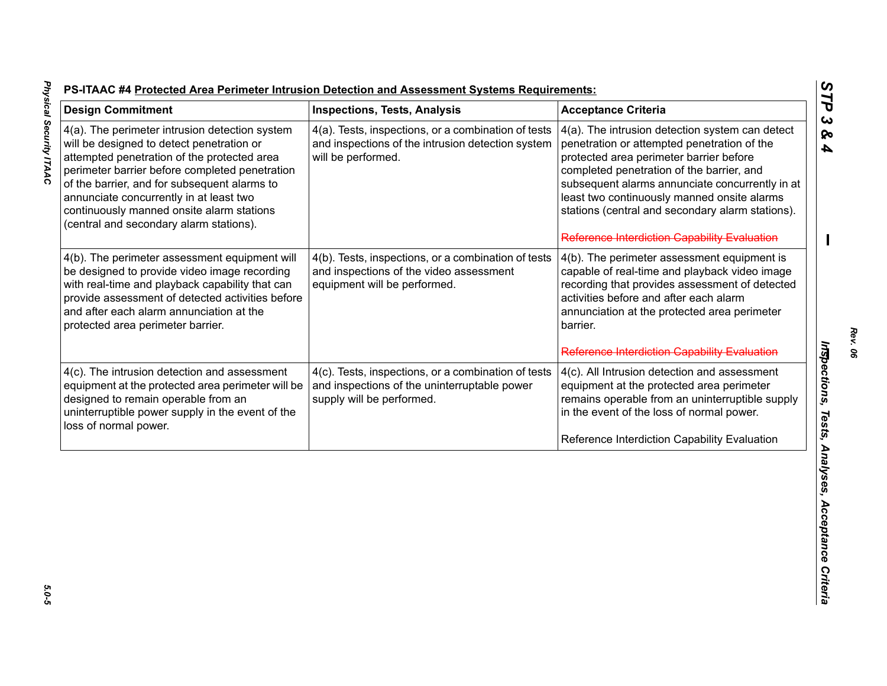| <b>Design Commitment</b>                                                                                                                                                                                                                                                                                                                                                        | <b>Inspections, Tests, Analysis</b>                                                                                              | <b>Acceptance Criteria</b>                                                                                                                                                                                                                                                                                                                                                                   |
|---------------------------------------------------------------------------------------------------------------------------------------------------------------------------------------------------------------------------------------------------------------------------------------------------------------------------------------------------------------------------------|----------------------------------------------------------------------------------------------------------------------------------|----------------------------------------------------------------------------------------------------------------------------------------------------------------------------------------------------------------------------------------------------------------------------------------------------------------------------------------------------------------------------------------------|
| 4(a). The perimeter intrusion detection system<br>will be designed to detect penetration or<br>attempted penetration of the protected area<br>perimeter barrier before completed penetration<br>of the barrier, and for subsequent alarms to<br>annunciate concurrently in at least two<br>continuously manned onsite alarm stations<br>(central and secondary alarm stations). | 4(a). Tests, inspections, or a combination of tests<br>and inspections of the intrusion detection system<br>will be performed.   | 4(a). The intrusion detection system can detect<br>penetration or attempted penetration of the<br>protected area perimeter barrier before<br>completed penetration of the barrier, and<br>subsequent alarms annunciate concurrently in at<br>least two continuously manned onsite alarms<br>stations (central and secondary alarm stations).<br>Reference Interdiction Capability Evaluation |
| 4(b). The perimeter assessment equipment will<br>be designed to provide video image recording<br>with real-time and playback capability that can<br>provide assessment of detected activities before<br>and after each alarm annunciation at the<br>protected area perimeter barrier.                                                                                           | 4(b). Tests, inspections, or a combination of tests<br>and inspections of the video assessment<br>equipment will be performed.   | 4(b). The perimeter assessment equipment is<br>capable of real-time and playback video image<br>recording that provides assessment of detected<br>activities before and after each alarm<br>annunciation at the protected area perimeter<br>barrier.                                                                                                                                         |
|                                                                                                                                                                                                                                                                                                                                                                                 |                                                                                                                                  | Reference Interdiction Capability Evaluation                                                                                                                                                                                                                                                                                                                                                 |
| 4(c). The intrusion detection and assessment<br>equipment at the protected area perimeter will be<br>designed to remain operable from an<br>uninterruptible power supply in the event of the<br>loss of normal power.                                                                                                                                                           | 4(c). Tests, inspections, or a combination of tests<br>and inspections of the uninterruptable power<br>supply will be performed. | 4(c). All Intrusion detection and assessment<br>equipment at the protected area perimeter<br>remains operable from an uninterruptible supply<br>in the event of the loss of normal power.                                                                                                                                                                                                    |
|                                                                                                                                                                                                                                                                                                                                                                                 |                                                                                                                                  | Reference Interdiction Capability Evaluation                                                                                                                                                                                                                                                                                                                                                 |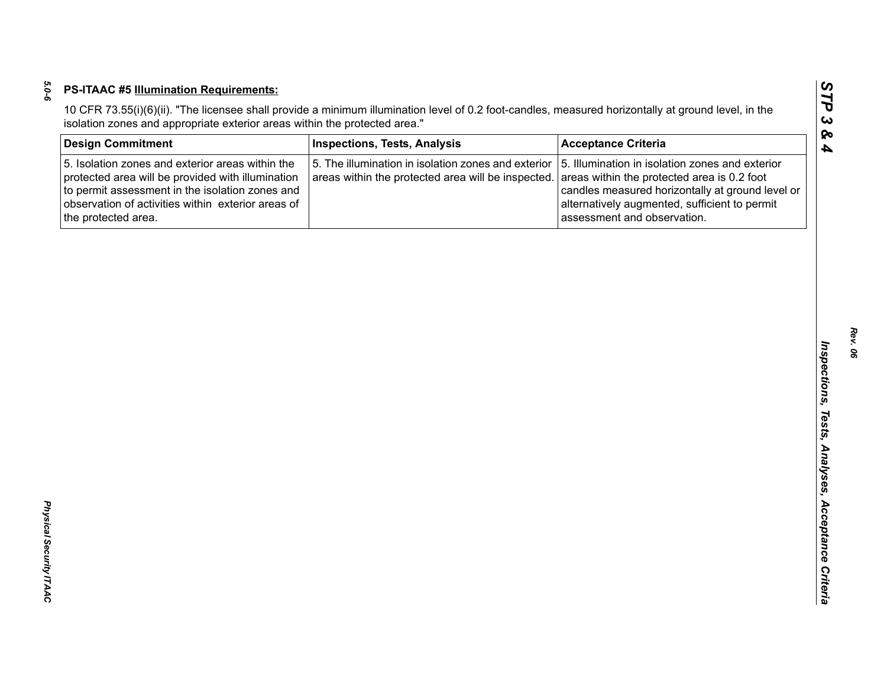| <b>Design Commitment</b>                                                                                                                                                                                                              | <b>Inspections, Tests, Analysis</b>                                                                       | <b>Acceptance Criteria</b>                                                                                                                                                                                                         |
|---------------------------------------------------------------------------------------------------------------------------------------------------------------------------------------------------------------------------------------|-----------------------------------------------------------------------------------------------------------|------------------------------------------------------------------------------------------------------------------------------------------------------------------------------------------------------------------------------------|
| 5. Isolation zones and exterior areas within the<br>protected area will be provided with illumination<br>to permit assessment in the isolation zones and<br>observation of activities within exterior areas of<br>the protected area. | 5. The illumination in isolation zones and exterior<br>areas within the protected area will be inspected. | 5. Illumination in isolation zones and exterior<br>areas within the protected area is 0.2 foot<br>candles measured horizontally at ground level or<br>alternatively augmented, sufficient to permit<br>assessment and observation. |
|                                                                                                                                                                                                                                       |                                                                                                           |                                                                                                                                                                                                                                    |
|                                                                                                                                                                                                                                       |                                                                                                           |                                                                                                                                                                                                                                    |
|                                                                                                                                                                                                                                       |                                                                                                           |                                                                                                                                                                                                                                    |
|                                                                                                                                                                                                                                       |                                                                                                           |                                                                                                                                                                                                                                    |
|                                                                                                                                                                                                                                       |                                                                                                           |                                                                                                                                                                                                                                    |
|                                                                                                                                                                                                                                       |                                                                                                           |                                                                                                                                                                                                                                    |
|                                                                                                                                                                                                                                       |                                                                                                           |                                                                                                                                                                                                                                    |
|                                                                                                                                                                                                                                       |                                                                                                           |                                                                                                                                                                                                                                    |
|                                                                                                                                                                                                                                       |                                                                                                           |                                                                                                                                                                                                                                    |
|                                                                                                                                                                                                                                       |                                                                                                           |                                                                                                                                                                                                                                    |
|                                                                                                                                                                                                                                       |                                                                                                           |                                                                                                                                                                                                                                    |
|                                                                                                                                                                                                                                       |                                                                                                           |                                                                                                                                                                                                                                    |
|                                                                                                                                                                                                                                       |                                                                                                           |                                                                                                                                                                                                                                    |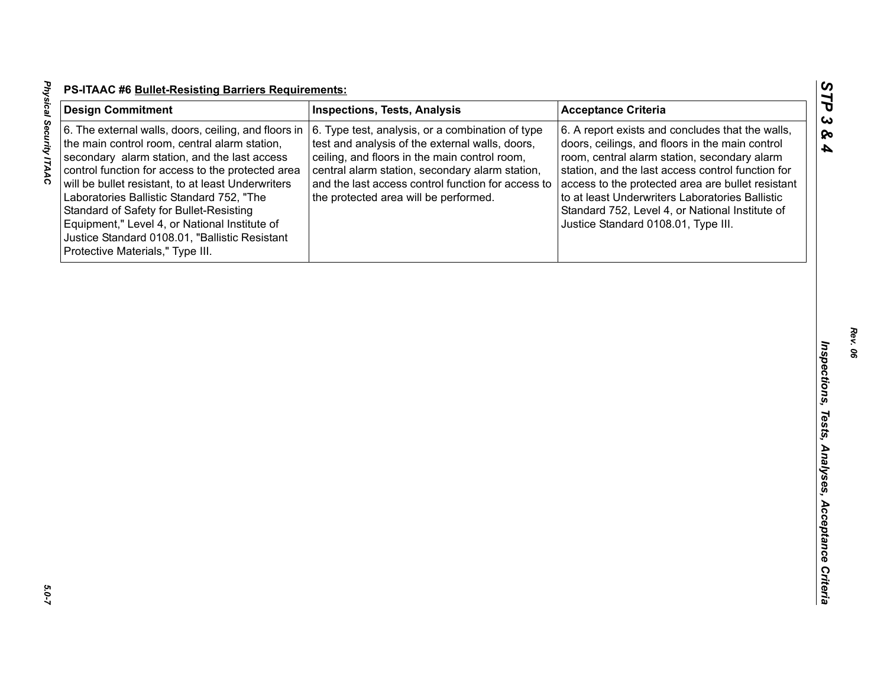| <b>Design Commitment</b>                                                                                                                                                                                                                                                                                                                                                                                                                                                                        | <b>Inspections, Tests, Analysis</b>                                                                                                                                                                                                                                                                    | <b>Acceptance Criteria</b>                                                                                                                                                                                                                                                                                                                                                                                 |
|-------------------------------------------------------------------------------------------------------------------------------------------------------------------------------------------------------------------------------------------------------------------------------------------------------------------------------------------------------------------------------------------------------------------------------------------------------------------------------------------------|--------------------------------------------------------------------------------------------------------------------------------------------------------------------------------------------------------------------------------------------------------------------------------------------------------|------------------------------------------------------------------------------------------------------------------------------------------------------------------------------------------------------------------------------------------------------------------------------------------------------------------------------------------------------------------------------------------------------------|
| 6. The external walls, doors, ceiling, and floors in<br>the main control room, central alarm station,<br>secondary alarm station, and the last access<br>control function for access to the protected area<br>will be bullet resistant, to at least Underwriters<br>Laboratories Ballistic Standard 752, "The<br>Standard of Safety for Bullet-Resisting<br>Equipment," Level 4, or National Institute of<br>Justice Standard 0108.01, "Ballistic Resistant<br>Protective Materials," Type III. | 6. Type test, analysis, or a combination of type<br>test and analysis of the external walls, doors,<br>ceiling, and floors in the main control room,<br>central alarm station, secondary alarm station,<br>and the last access control function for access to<br>the protected area will be performed. | 6. A report exists and concludes that the walls,<br>doors, ceilings, and floors in the main control<br>room, central alarm station, secondary alarm<br>station, and the last access control function for<br>access to the protected area are bullet resistant<br>to at least Underwriters Laboratories Ballistic<br>Standard 752, Level 4, or National Institute of<br>Justice Standard 0108.01, Type III. |
|                                                                                                                                                                                                                                                                                                                                                                                                                                                                                                 |                                                                                                                                                                                                                                                                                                        |                                                                                                                                                                                                                                                                                                                                                                                                            |
|                                                                                                                                                                                                                                                                                                                                                                                                                                                                                                 |                                                                                                                                                                                                                                                                                                        |                                                                                                                                                                                                                                                                                                                                                                                                            |
|                                                                                                                                                                                                                                                                                                                                                                                                                                                                                                 |                                                                                                                                                                                                                                                                                                        |                                                                                                                                                                                                                                                                                                                                                                                                            |
|                                                                                                                                                                                                                                                                                                                                                                                                                                                                                                 |                                                                                                                                                                                                                                                                                                        |                                                                                                                                                                                                                                                                                                                                                                                                            |
|                                                                                                                                                                                                                                                                                                                                                                                                                                                                                                 |                                                                                                                                                                                                                                                                                                        |                                                                                                                                                                                                                                                                                                                                                                                                            |

5.0-7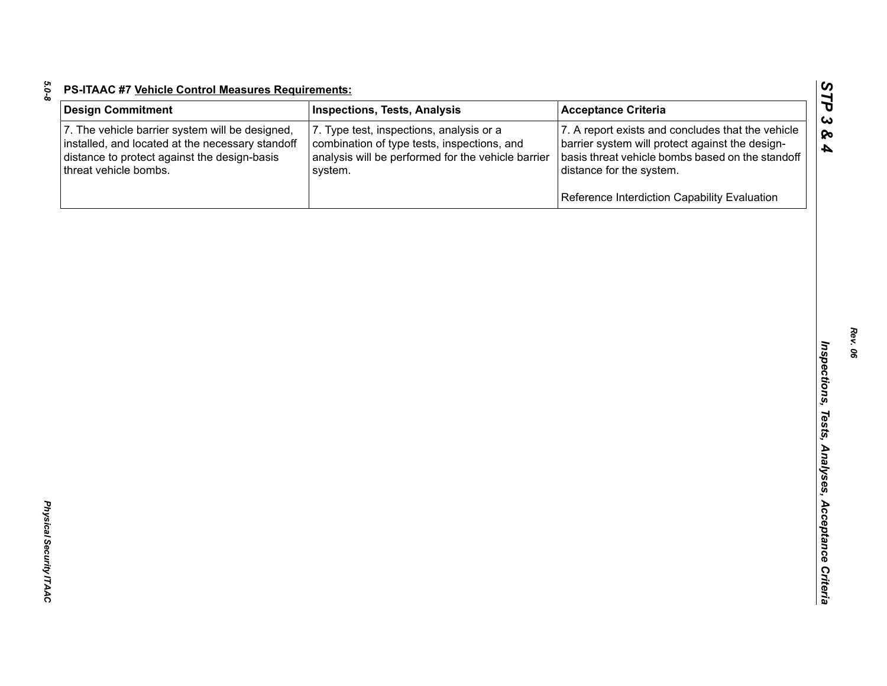| <b>Design Commitment</b>                                                                                                                                                     | <b>Inspections, Tests, Analysis</b>                                                                                                                      | <b>Acceptance Criteria</b>                                                                                                                                                           |
|------------------------------------------------------------------------------------------------------------------------------------------------------------------------------|----------------------------------------------------------------------------------------------------------------------------------------------------------|--------------------------------------------------------------------------------------------------------------------------------------------------------------------------------------|
| 7. The vehicle barrier system will be designed,<br>installed, and located at the necessary standoff<br>distance to protect against the design-basis<br>threat vehicle bombs. | 7. Type test, inspections, analysis or a<br>combination of type tests, inspections, and<br>analysis will be performed for the vehicle barrier<br>system. | 7. A report exists and concludes that the vehicle<br>barrier system will protect against the design-<br>basis threat vehicle bombs based on the standoff<br>distance for the system. |
|                                                                                                                                                                              |                                                                                                                                                          | Reference Interdiction Capability Evaluation                                                                                                                                         |
|                                                                                                                                                                              |                                                                                                                                                          |                                                                                                                                                                                      |
|                                                                                                                                                                              |                                                                                                                                                          |                                                                                                                                                                                      |
|                                                                                                                                                                              |                                                                                                                                                          |                                                                                                                                                                                      |
|                                                                                                                                                                              |                                                                                                                                                          |                                                                                                                                                                                      |
|                                                                                                                                                                              |                                                                                                                                                          |                                                                                                                                                                                      |
|                                                                                                                                                                              |                                                                                                                                                          |                                                                                                                                                                                      |
|                                                                                                                                                                              |                                                                                                                                                          |                                                                                                                                                                                      |
|                                                                                                                                                                              |                                                                                                                                                          |                                                                                                                                                                                      |
|                                                                                                                                                                              |                                                                                                                                                          |                                                                                                                                                                                      |
|                                                                                                                                                                              |                                                                                                                                                          |                                                                                                                                                                                      |
|                                                                                                                                                                              |                                                                                                                                                          |                                                                                                                                                                                      |
|                                                                                                                                                                              |                                                                                                                                                          |                                                                                                                                                                                      |
|                                                                                                                                                                              |                                                                                                                                                          |                                                                                                                                                                                      |
|                                                                                                                                                                              |                                                                                                                                                          |                                                                                                                                                                                      |
|                                                                                                                                                                              |                                                                                                                                                          |                                                                                                                                                                                      |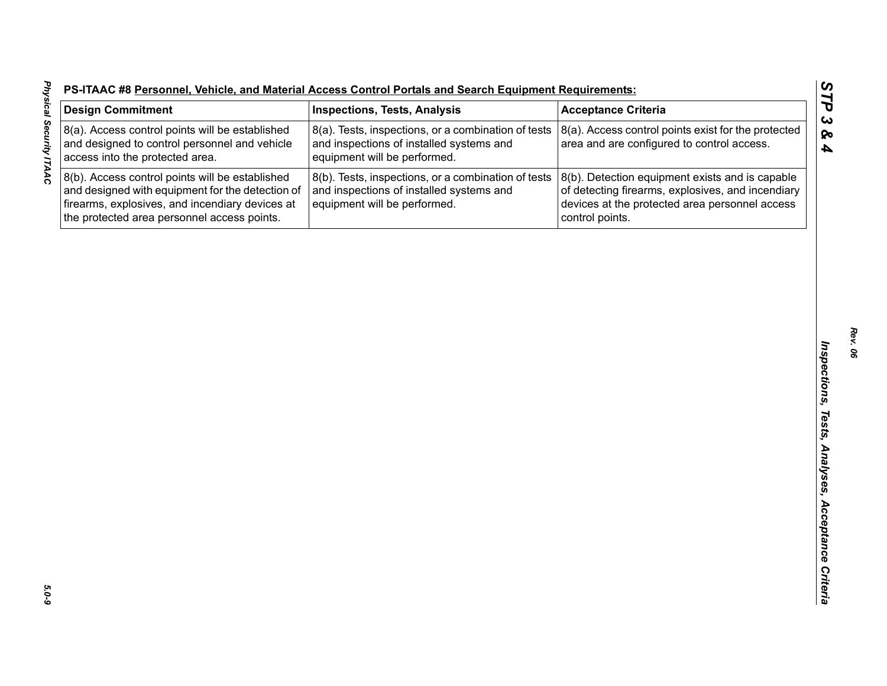| S-ITAAC #8 Personnel, Vehicle, and Material Access Control Portals and Search Equipment Requirements: |  |  |  |
|-------------------------------------------------------------------------------------------------------|--|--|--|
|                                                                                                       |  |  |  |

| <b>Design Commitment</b>                                                                                                                                                                              | <b>Inspections, Tests, Analysis</b>                                                                                             | <b>Acceptance Criteria</b>                                                                                                                                                |
|-------------------------------------------------------------------------------------------------------------------------------------------------------------------------------------------------------|---------------------------------------------------------------------------------------------------------------------------------|---------------------------------------------------------------------------------------------------------------------------------------------------------------------------|
| 8(a). Access control points will be established<br>and designed to control personnel and vehicle<br>access into the protected area.                                                                   | 8(a). Tests, inspections, or a combination of tests<br>and inspections of installed systems and<br>equipment will be performed. | 8(a). Access control points exist for the protected<br>area and are configured to control access.                                                                         |
| 8(b). Access control points will be established<br>and designed with equipment for the detection of<br>firearms, explosives, and incendiary devices at<br>the protected area personnel access points. | 8(b). Tests, inspections, or a combination of tests<br>and inspections of installed systems and<br>equipment will be performed. | 8(b). Detection equipment exists and is capable<br>of detecting firearms, explosives, and incendiary<br>devices at the protected area personnel access<br>control points. |
|                                                                                                                                                                                                       |                                                                                                                                 |                                                                                                                                                                           |
|                                                                                                                                                                                                       |                                                                                                                                 |                                                                                                                                                                           |
|                                                                                                                                                                                                       |                                                                                                                                 |                                                                                                                                                                           |
|                                                                                                                                                                                                       |                                                                                                                                 |                                                                                                                                                                           |
|                                                                                                                                                                                                       |                                                                                                                                 |                                                                                                                                                                           |
|                                                                                                                                                                                                       |                                                                                                                                 |                                                                                                                                                                           |
|                                                                                                                                                                                                       |                                                                                                                                 |                                                                                                                                                                           |
|                                                                                                                                                                                                       |                                                                                                                                 |                                                                                                                                                                           |
|                                                                                                                                                                                                       |                                                                                                                                 |                                                                                                                                                                           |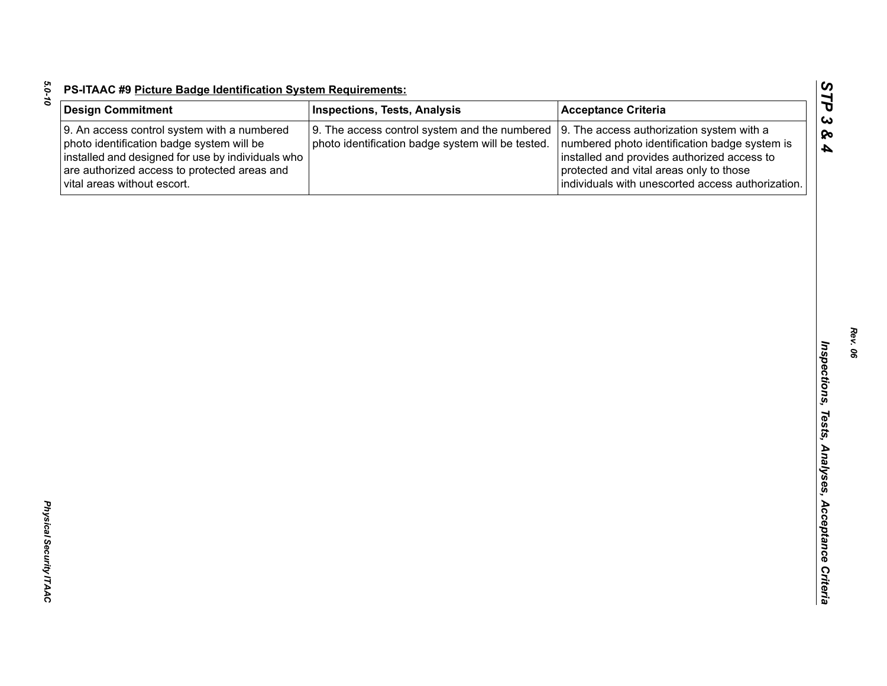| <b>Design Commitment</b>                                                                                                                                                                                                     | <b>Inspections, Tests, Analysis</b>                                                                | <b>Acceptance Criteria</b>                                                                                                                                                                                                                |
|------------------------------------------------------------------------------------------------------------------------------------------------------------------------------------------------------------------------------|----------------------------------------------------------------------------------------------------|-------------------------------------------------------------------------------------------------------------------------------------------------------------------------------------------------------------------------------------------|
| 9. An access control system with a numbered<br>photo identification badge system will be<br>installed and designed for use by individuals who<br>are authorized access to protected areas and<br>vital areas without escort. | 9. The access control system and the numbered<br>photo identification badge system will be tested. | 9. The access authorization system with a<br>numbered photo identification badge system is<br>installed and provides authorized access to<br>protected and vital areas only to those<br>individuals with unescorted access authorization. |
|                                                                                                                                                                                                                              |                                                                                                    |                                                                                                                                                                                                                                           |
|                                                                                                                                                                                                                              |                                                                                                    |                                                                                                                                                                                                                                           |
|                                                                                                                                                                                                                              |                                                                                                    |                                                                                                                                                                                                                                           |
|                                                                                                                                                                                                                              |                                                                                                    |                                                                                                                                                                                                                                           |
|                                                                                                                                                                                                                              |                                                                                                    |                                                                                                                                                                                                                                           |
|                                                                                                                                                                                                                              |                                                                                                    |                                                                                                                                                                                                                                           |
|                                                                                                                                                                                                                              |                                                                                                    |                                                                                                                                                                                                                                           |
|                                                                                                                                                                                                                              |                                                                                                    |                                                                                                                                                                                                                                           |
|                                                                                                                                                                                                                              |                                                                                                    |                                                                                                                                                                                                                                           |
|                                                                                                                                                                                                                              |                                                                                                    |                                                                                                                                                                                                                                           |
|                                                                                                                                                                                                                              |                                                                                                    |                                                                                                                                                                                                                                           |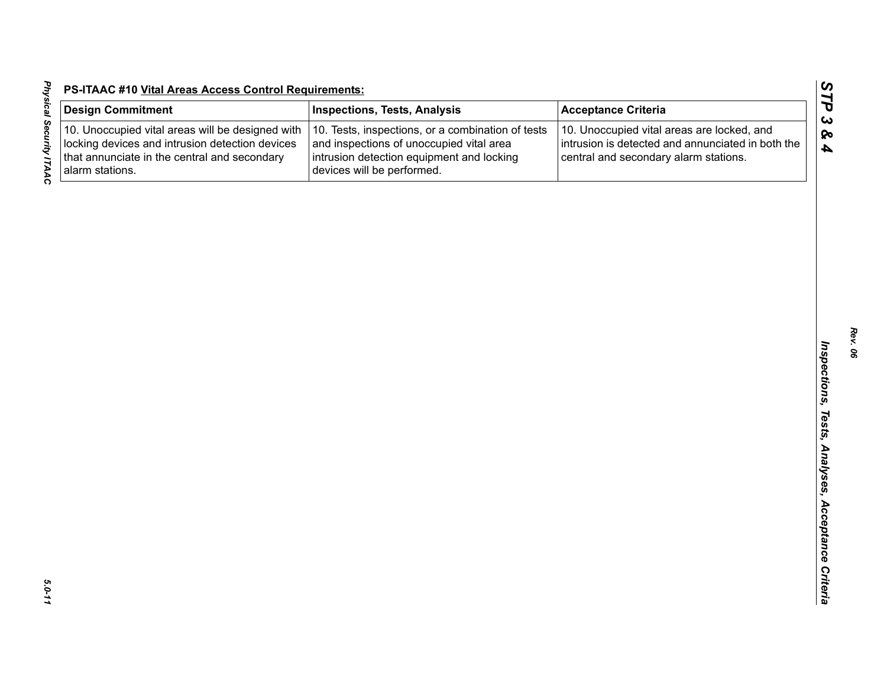| ŗ<br>:<br>;<br>;<br>Ī | $\frac{De}{E}$<br>$\frac{1}{10}$<br>$\frac{1}{10}$<br>$\frac{1}{10}$<br>$\frac{1}{10}$ |
|-----------------------|----------------------------------------------------------------------------------------|
|                       |                                                                                        |
| -1-1-                 |                                                                                        |

| <b>Design Commitment</b>                                                                                                                                               | <b>Inspections, Tests, Analysis</b>                                                                                                                                      | <b>Acceptance Criteria</b>                                                                                                               |
|------------------------------------------------------------------------------------------------------------------------------------------------------------------------|--------------------------------------------------------------------------------------------------------------------------------------------------------------------------|------------------------------------------------------------------------------------------------------------------------------------------|
| 10. Unoccupied vital areas will be designed with<br>locking devices and intrusion detection devices<br>that annunciate in the central and secondary<br>alarm stations. | 10. Tests, inspections, or a combination of tests<br>and inspections of unoccupied vital area<br>intrusion detection equipment and locking<br>devices will be performed. | 10. Unoccupied vital areas are locked, and<br>intrusion is detected and annunciated in both the<br>central and secondary alarm stations. |
|                                                                                                                                                                        |                                                                                                                                                                          |                                                                                                                                          |
|                                                                                                                                                                        |                                                                                                                                                                          |                                                                                                                                          |
|                                                                                                                                                                        |                                                                                                                                                                          |                                                                                                                                          |
|                                                                                                                                                                        |                                                                                                                                                                          |                                                                                                                                          |
|                                                                                                                                                                        |                                                                                                                                                                          |                                                                                                                                          |
|                                                                                                                                                                        |                                                                                                                                                                          |                                                                                                                                          |
|                                                                                                                                                                        |                                                                                                                                                                          |                                                                                                                                          |
|                                                                                                                                                                        |                                                                                                                                                                          |                                                                                                                                          |
|                                                                                                                                                                        |                                                                                                                                                                          |                                                                                                                                          |
|                                                                                                                                                                        |                                                                                                                                                                          |                                                                                                                                          |
|                                                                                                                                                                        |                                                                                                                                                                          |                                                                                                                                          |
|                                                                                                                                                                        |                                                                                                                                                                          |                                                                                                                                          |
|                                                                                                                                                                        |                                                                                                                                                                          |                                                                                                                                          |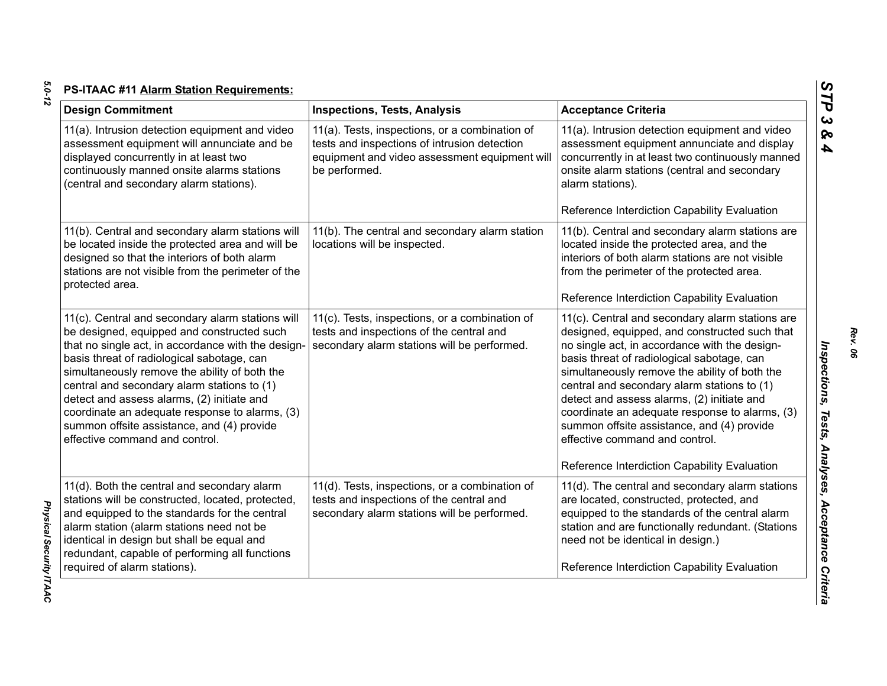| <b>Design Commitment</b>                                                                                                                                                                                                                                                                                                                                                                                                                                                           | <b>Inspections, Tests, Analysis</b>                                                                                                                              | <b>Acceptance Criteria</b>                                                                                                                                                                                                                                                                                                                                                                                                                                                                                                      |
|------------------------------------------------------------------------------------------------------------------------------------------------------------------------------------------------------------------------------------------------------------------------------------------------------------------------------------------------------------------------------------------------------------------------------------------------------------------------------------|------------------------------------------------------------------------------------------------------------------------------------------------------------------|---------------------------------------------------------------------------------------------------------------------------------------------------------------------------------------------------------------------------------------------------------------------------------------------------------------------------------------------------------------------------------------------------------------------------------------------------------------------------------------------------------------------------------|
| 11(a). Intrusion detection equipment and video<br>assessment equipment will annunciate and be<br>displayed concurrently in at least two<br>continuously manned onsite alarms stations<br>(central and secondary alarm stations).                                                                                                                                                                                                                                                   | 11(a). Tests, inspections, or a combination of<br>tests and inspections of intrusion detection<br>equipment and video assessment equipment will<br>be performed. | 11(a). Intrusion detection equipment and video<br>assessment equipment annunciate and display<br>concurrently in at least two continuously manned<br>onsite alarm stations (central and secondary<br>alarm stations).<br>Reference Interdiction Capability Evaluation                                                                                                                                                                                                                                                           |
| 11(b). Central and secondary alarm stations will<br>be located inside the protected area and will be<br>designed so that the interiors of both alarm<br>stations are not visible from the perimeter of the<br>protected area.                                                                                                                                                                                                                                                      | 11(b). The central and secondary alarm station<br>locations will be inspected.                                                                                   | 11(b). Central and secondary alarm stations are<br>located inside the protected area, and the<br>interiors of both alarm stations are not visible<br>from the perimeter of the protected area.<br>Reference Interdiction Capability Evaluation                                                                                                                                                                                                                                                                                  |
| 11(c). Central and secondary alarm stations will<br>be designed, equipped and constructed such<br>that no single act, in accordance with the design-<br>basis threat of radiological sabotage, can<br>simultaneously remove the ability of both the<br>central and secondary alarm stations to (1)<br>detect and assess alarms, (2) initiate and<br>coordinate an adequate response to alarms, (3)<br>summon offsite assistance, and (4) provide<br>effective command and control. | 11(c). Tests, inspections, or a combination of<br>tests and inspections of the central and<br>secondary alarm stations will be performed.                        | 11(c). Central and secondary alarm stations are<br>designed, equipped, and constructed such that<br>no single act, in accordance with the design-<br>basis threat of radiological sabotage, can<br>simultaneously remove the ability of both the<br>central and secondary alarm stations to (1)<br>detect and assess alarms, (2) initiate and<br>coordinate an adequate response to alarms, (3)<br>summon offsite assistance, and (4) provide<br>effective command and control.<br>Reference Interdiction Capability Evaluation |
| 11(d). Both the central and secondary alarm<br>stations will be constructed, located, protected,<br>and equipped to the standards for the central<br>alarm station (alarm stations need not be<br>identical in design but shall be equal and<br>redundant, capable of performing all functions<br>required of alarm stations).                                                                                                                                                     | 11(d). Tests, inspections, or a combination of<br>tests and inspections of the central and<br>secondary alarm stations will be performed.                        | 11(d). The central and secondary alarm stations<br>are located, constructed, protected, and<br>equipped to the standards of the central alarm<br>station and are functionally redundant. (Stations<br>need not be identical in design.)<br>Reference Interdiction Capability Evaluation                                                                                                                                                                                                                                         |

*Rev. 06*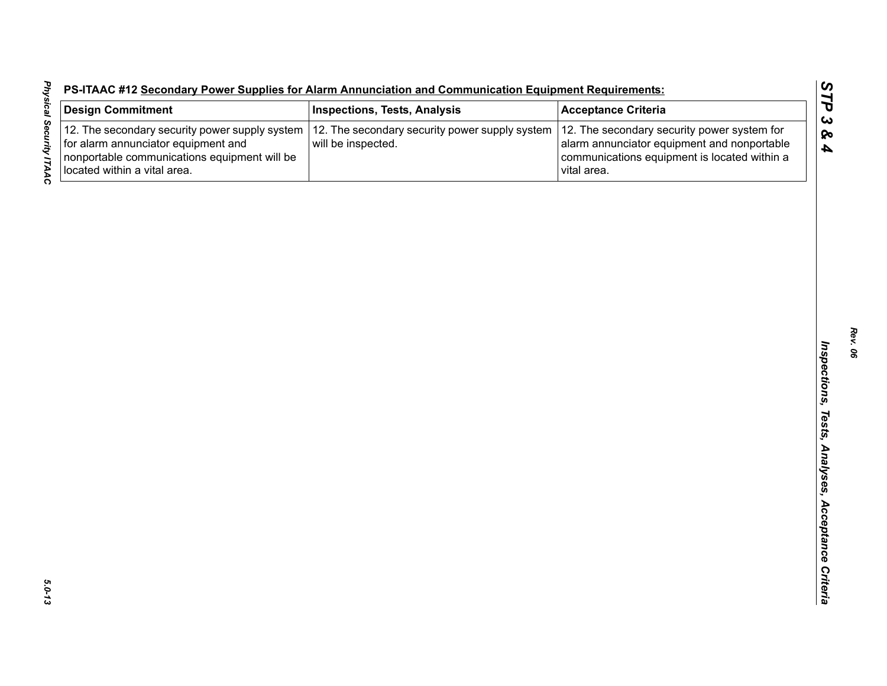|  |  | S-ITAAC #12 Secondary Power Supplies for Alarm Annunciation and Communication Equipment Requirements: |  |
|--|--|-------------------------------------------------------------------------------------------------------|--|
|  |  |                                                                                                       |  |

| <b>Design Commitment</b>                                                                                                                                              | <b>Inspections, Tests, Analysis</b>                                  | <b>Acceptance Criteria</b>                                                                                                                                |
|-----------------------------------------------------------------------------------------------------------------------------------------------------------------------|----------------------------------------------------------------------|-----------------------------------------------------------------------------------------------------------------------------------------------------------|
| 12. The secondary security power supply system<br>for alarm annunciator equipment and<br>nonportable communications equipment will be<br>located within a vital area. | 12. The secondary security power supply system<br>will be inspected. | 12. The secondary security power system for<br>alarm annunciator equipment and nonportable<br>communications equipment is located within a<br>vital area. |
|                                                                                                                                                                       |                                                                      |                                                                                                                                                           |
|                                                                                                                                                                       |                                                                      |                                                                                                                                                           |
|                                                                                                                                                                       |                                                                      |                                                                                                                                                           |
|                                                                                                                                                                       |                                                                      |                                                                                                                                                           |
|                                                                                                                                                                       |                                                                      |                                                                                                                                                           |
|                                                                                                                                                                       |                                                                      |                                                                                                                                                           |
|                                                                                                                                                                       |                                                                      |                                                                                                                                                           |
|                                                                                                                                                                       |                                                                      |                                                                                                                                                           |
|                                                                                                                                                                       |                                                                      |                                                                                                                                                           |
|                                                                                                                                                                       |                                                                      |                                                                                                                                                           |
|                                                                                                                                                                       |                                                                      |                                                                                                                                                           |
|                                                                                                                                                                       |                                                                      |                                                                                                                                                           |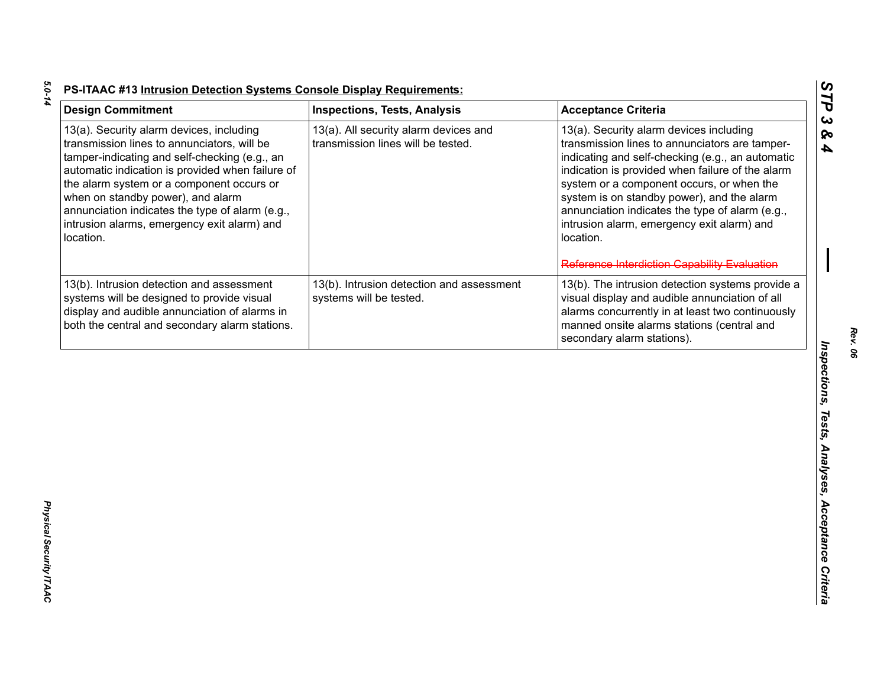| <b>Design Commitment</b>                                                                                                                                                                                                                                                                                                                                                                      | <b>Inspections, Tests, Analysis</b>                                         | <b>Acceptance Criteria</b>                                                                                                                                                                                                                                                                                                                                                                                                                                 |
|-----------------------------------------------------------------------------------------------------------------------------------------------------------------------------------------------------------------------------------------------------------------------------------------------------------------------------------------------------------------------------------------------|-----------------------------------------------------------------------------|------------------------------------------------------------------------------------------------------------------------------------------------------------------------------------------------------------------------------------------------------------------------------------------------------------------------------------------------------------------------------------------------------------------------------------------------------------|
| 13(a). Security alarm devices, including<br>transmission lines to annunciators, will be<br>tamper-indicating and self-checking (e.g., an<br>automatic indication is provided when failure of<br>the alarm system or a component occurs or<br>when on standby power), and alarm<br>annunciation indicates the type of alarm (e.g.,<br>intrusion alarms, emergency exit alarm) and<br>location. | 13(a). All security alarm devices and<br>transmission lines will be tested. | 13(a). Security alarm devices including<br>transmission lines to annunciators are tamper-<br>indicating and self-checking (e.g., an automatic<br>indication is provided when failure of the alarm<br>system or a component occurs, or when the<br>system is on standby power), and the alarm<br>annunciation indicates the type of alarm (e.g.,<br>intrusion alarm, emergency exit alarm) and<br>location.<br>Reference Interdiction Capability Evaluation |
| 13(b). Intrusion detection and assessment<br>systems will be designed to provide visual<br>display and audible annunciation of alarms in<br>both the central and secondary alarm stations.                                                                                                                                                                                                    | 13(b). Intrusion detection and assessment<br>systems will be tested.        | 13(b). The intrusion detection systems provide a<br>visual display and audible annunciation of all<br>alarms concurrently in at least two continuously<br>manned onsite alarms stations (central and<br>secondary alarm stations).                                                                                                                                                                                                                         |
|                                                                                                                                                                                                                                                                                                                                                                                               |                                                                             |                                                                                                                                                                                                                                                                                                                                                                                                                                                            |
|                                                                                                                                                                                                                                                                                                                                                                                               |                                                                             |                                                                                                                                                                                                                                                                                                                                                                                                                                                            |
|                                                                                                                                                                                                                                                                                                                                                                                               |                                                                             |                                                                                                                                                                                                                                                                                                                                                                                                                                                            |
|                                                                                                                                                                                                                                                                                                                                                                                               |                                                                             |                                                                                                                                                                                                                                                                                                                                                                                                                                                            |

*Rev. 06*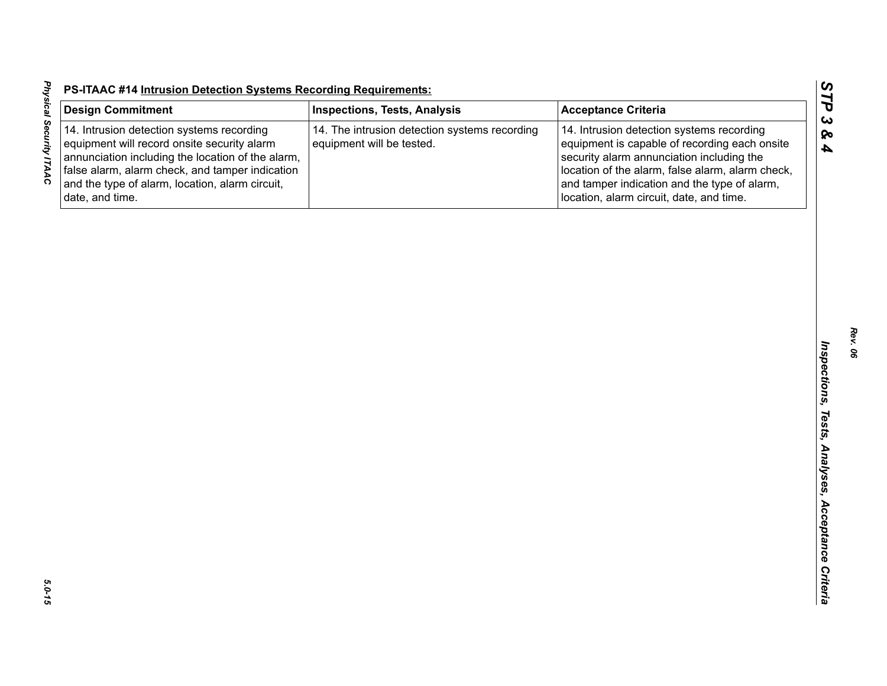| <b>Design Commitment</b>                                                                                                                                                                                                                                               | <b>Inspections, Tests, Analysis</b>                                        | <b>Acceptance Criteria</b>                                                                                                                                                                                                                                                              |
|------------------------------------------------------------------------------------------------------------------------------------------------------------------------------------------------------------------------------------------------------------------------|----------------------------------------------------------------------------|-----------------------------------------------------------------------------------------------------------------------------------------------------------------------------------------------------------------------------------------------------------------------------------------|
| 14. Intrusion detection systems recording<br>equipment will record onsite security alarm<br>annunciation including the location of the alarm,<br>false alarm, alarm check, and tamper indication<br>and the type of alarm, location, alarm circuit,<br>date, and time. | 14. The intrusion detection systems recording<br>equipment will be tested. | 14. Intrusion detection systems recording<br>equipment is capable of recording each onsite<br>security alarm annunciation including the<br>location of the alarm, false alarm, alarm check,<br>and tamper indication and the type of alarm,<br>location, alarm circuit, date, and time. |
|                                                                                                                                                                                                                                                                        |                                                                            |                                                                                                                                                                                                                                                                                         |
|                                                                                                                                                                                                                                                                        |                                                                            |                                                                                                                                                                                                                                                                                         |
|                                                                                                                                                                                                                                                                        |                                                                            |                                                                                                                                                                                                                                                                                         |
|                                                                                                                                                                                                                                                                        |                                                                            |                                                                                                                                                                                                                                                                                         |
|                                                                                                                                                                                                                                                                        |                                                                            |                                                                                                                                                                                                                                                                                         |
|                                                                                                                                                                                                                                                                        |                                                                            |                                                                                                                                                                                                                                                                                         |
|                                                                                                                                                                                                                                                                        |                                                                            |                                                                                                                                                                                                                                                                                         |
|                                                                                                                                                                                                                                                                        |                                                                            |                                                                                                                                                                                                                                                                                         |
|                                                                                                                                                                                                                                                                        |                                                                            |                                                                                                                                                                                                                                                                                         |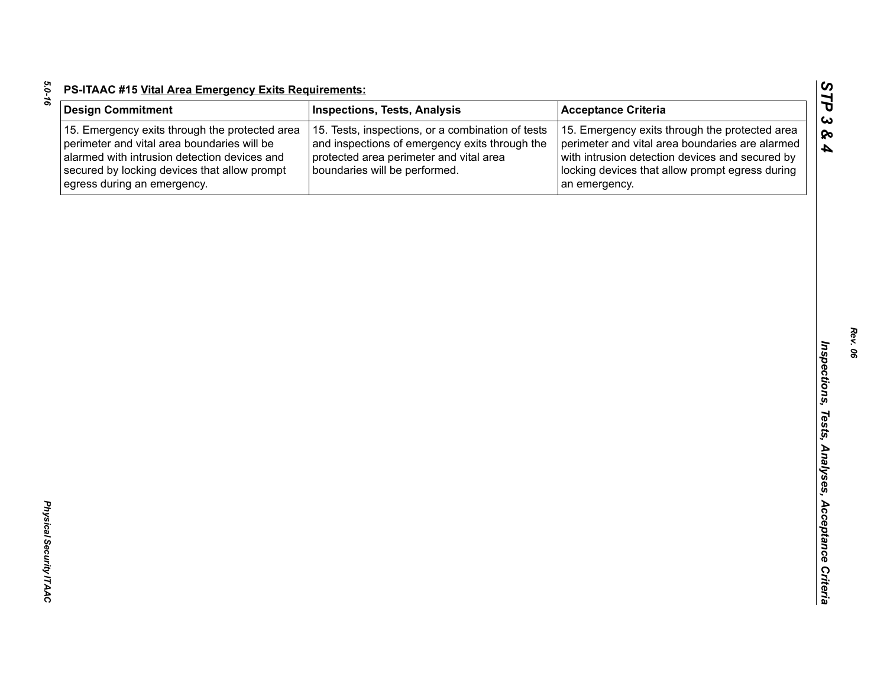| c |  |
|---|--|
|   |  |
|   |  |
|   |  |
|   |  |
|   |  |

| <b>Design Commitment</b>                                                                                                                                                                                                     | <b>Inspections, Tests, Analysis</b>                                                                                                                                             | <b>Acceptance Criteria</b>                                                                                                                                                                                               |
|------------------------------------------------------------------------------------------------------------------------------------------------------------------------------------------------------------------------------|---------------------------------------------------------------------------------------------------------------------------------------------------------------------------------|--------------------------------------------------------------------------------------------------------------------------------------------------------------------------------------------------------------------------|
| 15. Emergency exits through the protected area<br>perimeter and vital area boundaries will be<br>alarmed with intrusion detection devices and<br>secured by locking devices that allow prompt<br>egress during an emergency. | 15. Tests, inspections, or a combination of tests<br>and inspections of emergency exits through the<br>protected area perimeter and vital area<br>boundaries will be performed. | 15. Emergency exits through the protected area<br>perimeter and vital area boundaries are alarmed<br>with intrusion detection devices and secured by<br>locking devices that allow prompt egress during<br>an emergency. |
|                                                                                                                                                                                                                              |                                                                                                                                                                                 |                                                                                                                                                                                                                          |
|                                                                                                                                                                                                                              |                                                                                                                                                                                 |                                                                                                                                                                                                                          |
|                                                                                                                                                                                                                              |                                                                                                                                                                                 |                                                                                                                                                                                                                          |
|                                                                                                                                                                                                                              |                                                                                                                                                                                 |                                                                                                                                                                                                                          |
|                                                                                                                                                                                                                              |                                                                                                                                                                                 |                                                                                                                                                                                                                          |
|                                                                                                                                                                                                                              |                                                                                                                                                                                 |                                                                                                                                                                                                                          |
|                                                                                                                                                                                                                              |                                                                                                                                                                                 |                                                                                                                                                                                                                          |
|                                                                                                                                                                                                                              |                                                                                                                                                                                 |                                                                                                                                                                                                                          |
|                                                                                                                                                                                                                              |                                                                                                                                                                                 |                                                                                                                                                                                                                          |
|                                                                                                                                                                                                                              |                                                                                                                                                                                 |                                                                                                                                                                                                                          |
|                                                                                                                                                                                                                              |                                                                                                                                                                                 |                                                                                                                                                                                                                          |
|                                                                                                                                                                                                                              |                                                                                                                                                                                 |                                                                                                                                                                                                                          |
|                                                                                                                                                                                                                              |                                                                                                                                                                                 |                                                                                                                                                                                                                          |